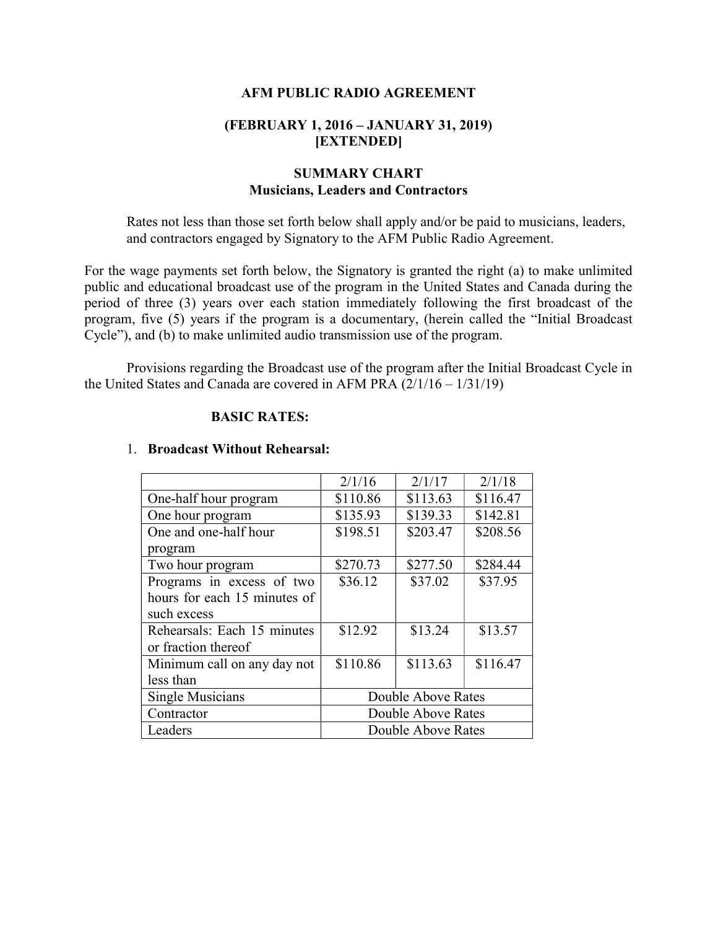### AFM PUBLIC RADIO AGREEMENT

## (FEBRUARY 1, 2016 – JANUARY 31, 2019) [EXTENDED]

# SUMMARY CHART Musicians, Leaders and Contractors

Rates not less than those set forth below shall apply and/or be paid to musicians, leaders, and contractors engaged by Signatory to the AFM Public Radio Agreement.

For the wage payments set forth below, the Signatory is granted the right (a) to make unlimited public and educational broadcast use of the program in the United States and Canada during the period of three (3) years over each station immediately following the first broadcast of the program, five (5) years if the program is a documentary, (herein called the "Initial Broadcast Cycle"), and (b) to make unlimited audio transmission use of the program.

 Provisions regarding the Broadcast use of the program after the Initial Broadcast Cycle in the United States and Canada are covered in AFM PRA  $(2/1/16 - 1/31/19)$ 

#### BASIC RATES:

|                              | 2/1/16             | 2/1/17   | 2/1/18   |
|------------------------------|--------------------|----------|----------|
| One-half hour program        | \$110.86           | \$113.63 | \$116.47 |
| One hour program             | \$135.93           | \$139.33 | \$142.81 |
| One and one-half hour        | \$198.51           | \$203.47 | \$208.56 |
| program                      |                    |          |          |
| Two hour program             | \$270.73           | \$277.50 | \$284.44 |
| Programs in excess of two    | \$36.12            | \$37.02  | \$37.95  |
| hours for each 15 minutes of |                    |          |          |
| such excess                  |                    |          |          |
| Rehearsals: Each 15 minutes  | \$12.92            | \$13.24  | \$13.57  |
| or fraction thereof          |                    |          |          |
| Minimum call on any day not  | \$110.86           | \$113.63 | \$116.47 |
| less than                    |                    |          |          |
| Single Musicians             | Double Above Rates |          |          |
| Contractor                   | Double Above Rates |          |          |
| Leaders                      | Double Above Rates |          |          |

#### 1. Broadcast Without Rehearsal: